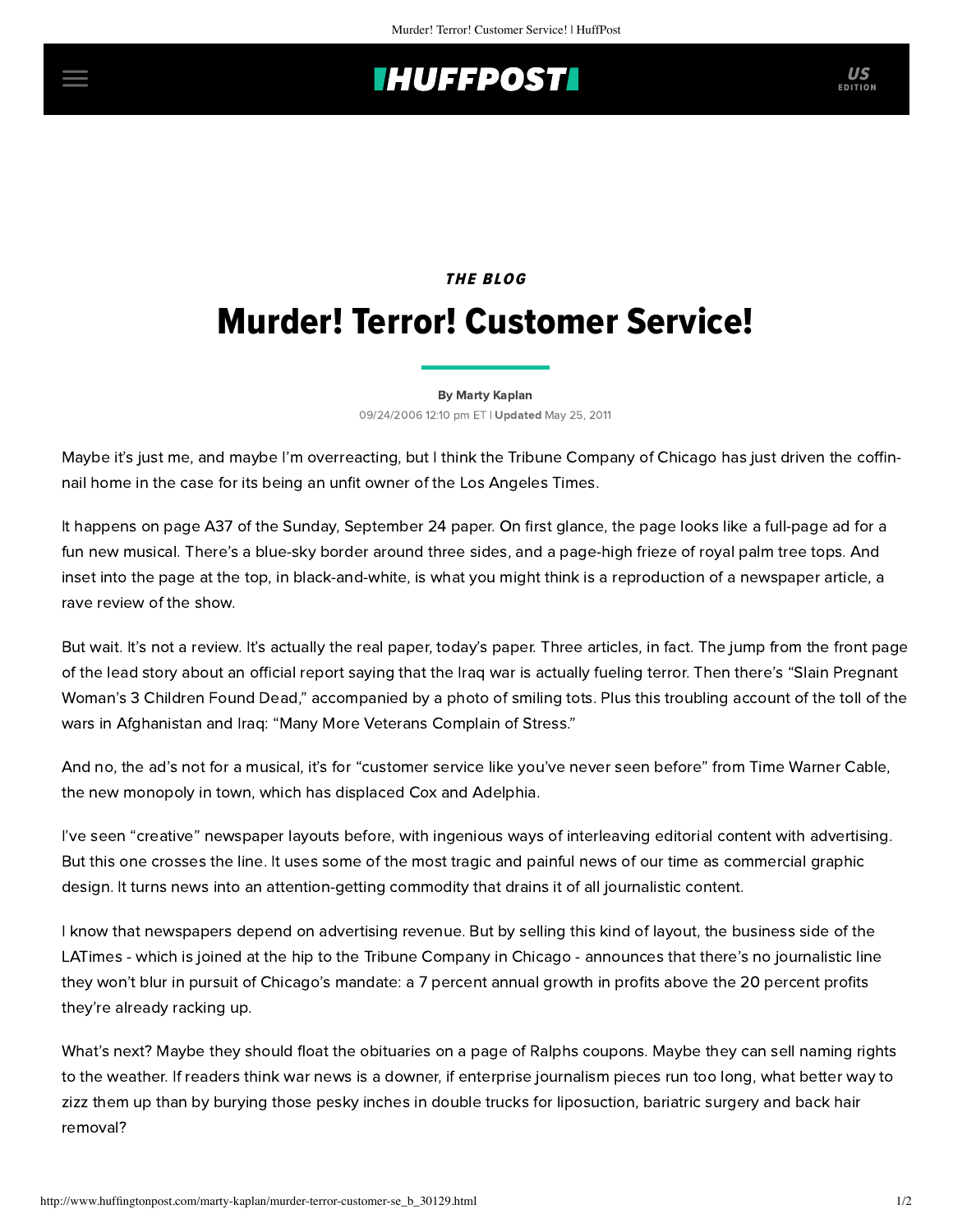## **IHUFFPOSTI** US

# **THE BLOG** Murder! Terror! Customer Service!

#### [By Marty Kaplan](http://www.huffingtonpost.com/author/marty-kaplan)

09/24/2006 12:10 pm ET | Updated May 25, 2011

Maybe it's just me, and maybe I'm overreacting, but I think the Tribune Company of Chicago has just driven the coffinnail home in the case for its being an unfit owner of the Los Angeles Times.

It happens on page A37 of the Sunday, September 24 paper. On first glance, the page looks like a full-page ad for a fun new musical. There's a blue-sky border around three sides, and a page-high frieze of royal palm tree tops. And inset into the page at the top, in black-and-white, is what you might think is a reproduction of a newspaper article, a rave review of the show.

But wait. It's not a review. It's actually the real paper, today's paper. Three articles, in fact. The jump from the front page of the lead story about an official report saying that the Iraq war is actually fueling terror. Then there's "Slain Pregnant Woman's 3 Children Found Dead," accompanied by a photo of smiling tots. Plus this troubling account of the toll of the wars in Afghanistan and Iraq: "Many More Veterans Complain of Stress."

And no, the ad's not for a musical, it's for "customer service like you've never seen before" from Time Warner Cable, the new monopoly in town, which has displaced Cox and Adelphia.

I've seen "creative" newspaper layouts before, with ingenious ways of interleaving editorial content with advertising. But this one crosses the line. It uses some of the most tragic and painful news of our time as commercial graphic design. It turns news into an attention-getting commodity that drains it of all journalistic content.

I know that newspapers depend on advertising revenue. But by selling this kind of layout, the business side of the LATimes - which is joined at the hip to the Tribune Company in Chicago - announces that there's no journalistic line they won't blur in pursuit of Chicago's mandate: a 7 percent annual growth in profits above the 20 percent profits they're already racking up.

What's next? Maybe they should float the obituaries on a page of Ralphs coupons. Maybe they can sell naming rights to the weather. If readers think war news is a downer, if enterprise journalism pieces run too long, what better way to zizz them up than by burying those pesky inches in double trucks for liposuction, bariatric surgery and back hair removal?